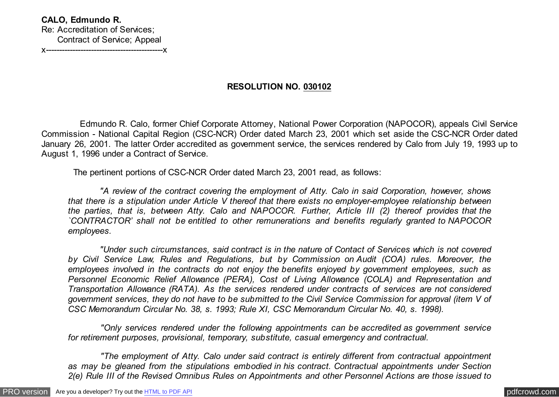## **RESOLUTION NO. 030102**

 Edmundo R. Calo, former Chief Corporate Attorney, National Power Corporation (NAPOCOR), appeals Civil Service Commission - National Capital Region (CSC-NCR) Order dated March 23, 2001 which set aside the CSC-NCR Order dated January 26, 2001. The latter Order accredited as government service, the services rendered by Calo from July 19, 1993 up to August 1, 1996 under a Contract of Service.

The pertinent portions of CSC-NCR Order dated March 23, 2001 read, as follows:

 *"A review of the contract covering the employment of Atty. Calo in said Corporation, however, shows that there is a stipulation under Article V thereof that there exists no employer-employee relationship between the parties, that is, between Atty. Calo and NAPOCOR. Further, Article III (2) thereof provides that the `CONTRACTOR' shall not be entitled to other remunerations and benefits regularly granted to NAPOCOR employees.*

 *"Under such circumstances, said contract is in the nature of Contact of Services which is not covered by Civil Service Law, Rules and Regulations, but by Commission on Audit (COA) rules. Moreover, the employees involved in the contracts do not enjoy the benefits enjoyed by government employees, such as Personnel Economic Relief Allowance (PERA), Cost of Living Allowance (COLA) and Representation and Transportation Allowance (RATA). As the services rendered under contracts of services are not considered government services, they do not have to be submitted to the Civil Service Commission for approval (item V of CSC Memorandum Circular No. 38, s. 1993; Rule XI, CSC Memorandum Circular No. 40, s. 1998).*

 *"Only services rendered under the following appointments can be accredited as government service for retirement purposes, provisional, temporary, substitute, casual emergency and contractual.*

 *"The employment of Atty. Calo under said contract is entirely different from contractual appointment as may be gleaned from the stipulations embodied in his contract. Contractual appointments under Section 2(e) Rule III of the Revised Omnibus Rules on Appointments and other Personnel Actions are those issued to*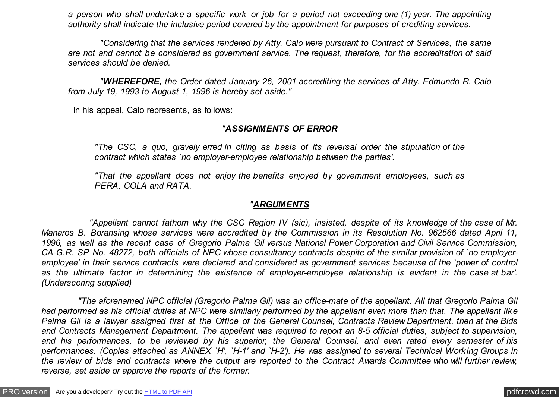*a person who shall undertake a specific work or job for a period not exceeding one (1) year. The appointing authority shall indicate the inclusive period covered by the appointment for purposes of crediting services.*

 *"Considering that the services rendered by Atty. Calo were pursuant to Contract of Services, the same are not and cannot be considered as government service. The request, therefore, for the accreditation of said services should be denied.*

 *"WHEREFORE, the Order dated January 26, 2001 accrediting the services of Atty. Edmundo R. Calo from July 19, 1993 to August 1, 1996 is hereby set aside."*

In his appeal, Calo represents, as follows:

## *"ASSIGNMENTS OF ERROR*

*"The CSC, a quo, gravely erred in citing as basis of its reversal order the stipulation of the contract which states `no employer-employee relationship between the parties'.*

*"That the appellant does not enjoy the benefits enjoyed by government employees, such as PERA, COLA and RATA.*

## *"ARGUMENTS*

 *"Appellant cannot fathom why the CSC Region IV (sic), insisted, despite of its knowledge of the case of Mr. Manaros B. Boransing whose services were accredited by the Commission in its Resolution No. 962566 dated April 11, 1996, as well as the recent case of Gregorio Palma Gil versus National Power Corporation and Civil Service Commission, CA-G.R. SP No. 48272, both officials of NPC whose consultancy contracts despite of the similar provision of `no employeremployee' in their service contracts were declared and considered as government services because of the `power of control as the ultimate factor in determining the existence of employer-employee relationship is evident in the case at bar'. (Underscoring supplied)*

 *"The aforenamed NPC official (Gregorio Palma Gil) was an office-mate of the appellant. All that Gregorio Palma Gil had performed as his official duties at NPC were similarly performed by the appellant even more than that. The appellant like Palma Gil is a lawyer assigned first at the Office of the General Counsel, Contracts Review Department, then at the Bids and Contracts Management Department. The appellant was required to report an 8-5 official duties, subject to supervision, and his performances, to be reviewed by his superior, the General Counsel, and even rated every semester of his performances. (Copies attached as ANNEX `H', `H-1' and `H-2'). He was assigned to several Technical Working Groups in the review of bids and contracts where the output are reported to the Contract Awards Committee who will further review, reverse, set aside or approve the reports of the former.*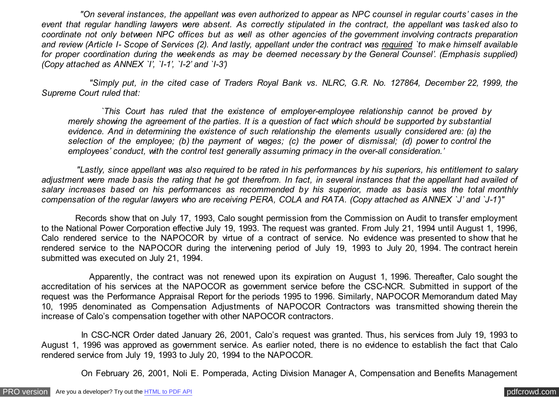*"On several instances, the appellant was even authorized to appear as NPC counsel in regular courts' cases in the event that regular handling lawyers were absent. As correctly stipulated in the contract, the appellant was tasked also to coordinate not only between NPC offices but as well as other agencies of the government involving contracts preparation and review (Article I- Scope of Services (2). And lastly, appellant under the contract was required `to make himself available for proper coordination during the weekends as may be deemed necessary by the General Counsel'. (Emphasis supplied) (Copy attached as ANNEX `I', `I-1', `I-2' and `I-3')*

 *"Simply put, in the cited case of Traders Royal Bank vs. NLRC, G.R. No. 127864, December 22, 1999, the Supreme Court ruled that:*

 *`This Court has ruled that the existence of employer-employee relationship cannot be proved by merely showing the agreement of the parties. It is a question of fact which should be supported by substantial evidence. And in determining the existence of such relationship the elements usually considered are: (a) the selection of the employee; (b) the payment of wages; (c) the power of dismissal; (d) power to control the employees' conduct, with the control test generally assuming primacy in the over-all consideration.'*

 *"Lastly, since appellant was also required to be rated in his performances by his superiors, his entitlement to salary adjustment were made basis the rating that he got therefrom. In fact, in several instances that the appellant had availed of salary increases based on his performances as recommended by his superior, made as basis was the total monthly compensation of the regular lawyers who are receiving PERA, COLA and RATA. (Copy attached as ANNEX `J' and `J-1')"*

 Records show that on July 17, 1993, Calo sought permission from the Commission on Audit to transfer employment to the National Power Corporation effective July 19, 1993. The request was granted. From July 21, 1994 until August 1, 1996, Calo rendered service to the NAPOCOR by virtue of a contract of service. No evidence was presented to show that he rendered service to the NAPOCOR during the intervening period of July 19, 1993 to July 20, 1994. The contract herein submitted was executed on July 21, 1994.

 Apparently, the contract was not renewed upon its expiration on August 1, 1996. Thereafter, Calo sought the accreditation of his services at the NAPOCOR as government service before the CSC-NCR. Submitted in support of the request was the Performance Appraisal Report for the periods 1995 to 1996. Similarly, NAPOCOR Memorandum dated May 10, 1995 denominated as Compensation Adjustments of NAPOCOR Contractors was transmitted showing therein the increase of Calo's compensation together with other NAPOCOR contractors.

 In CSC-NCR Order dated January 26, 2001, Calo's request was granted. Thus, his services from July 19, 1993 to August 1, 1996 was approved as government service. As earlier noted, there is no evidence to establish the fact that Calo rendered service from July 19, 1993 to July 20, 1994 to the NAPOCOR.

On February 26, 2001, Noli E. Pomperada, Acting Division Manager A, Compensation and Benefits Management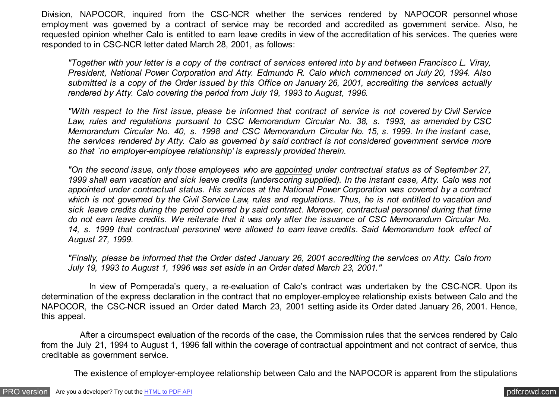Division, NAPOCOR, inquired from the CSC-NCR whether the services rendered by NAPOCOR personnel whose employment was governed by a contract of service may be recorded and accredited as government service. Also, he requested opinion whether Calo is entitled to earn leave credits in view of the accreditation of his services. The queries were responded to in CSC-NCR letter dated March 28, 2001, as follows:

*"Together with your letter is a copy of the contract of services entered into by and between Francisco L. Viray, President, National Power Corporation and Atty. Edmundo R. Calo which commenced on July 20, 1994. Also submitted is a copy of the Order issued by this Office on January 26, 2001, accrediting the services actually rendered by Atty. Calo covering the period from July 19, 1993 to August, 1996.*

*"With respect to the first issue, please be informed that contract of service is not covered by Civil Service Law, rules and regulations pursuant to CSC Memorandum Circular No. 38, s. 1993, as amended by CSC Memorandum Circular No. 40, s. 1998 and CSC Memorandum Circular No. 15, s. 1999. In the instant case, the services rendered by Atty. Calo as governed by said contract is not considered government service more so that `no employer-employee relationship' is expressly provided therein.*

*"On the second issue, only those employees who are appointed under contractual status as of September 27, 1999 shall earn vacation and sick leave credits (underscoring supplied). In the instant case, Atty. Calo was not appointed under contractual status. His services at the National Power Corporation was covered by a contract which is not governed by the Civil Service Law, rules and regulations. Thus, he is not entitled to vacation and sick leave credits during the period covered by said contract. Moreover, contractual personnel during that time do not earn leave credits. We reiterate that it was only after the issuance of CSC Memorandum Circular No. 14, s. 1999 that contractual personnel were allowed to earn leave credits. Said Memorandum took effect of August 27, 1999.*

*"Finally, please be informed that the Order dated January 26, 2001 accrediting the services on Atty. Calo from July 19, 1993 to August 1, 1996 was set aside in an Order dated March 23, 2001."*

 In view of Pomperada's query, a re-evaluation of Calo's contract was undertaken by the CSC-NCR. Upon its determination of the express declaration in the contract that no employer-employee relationship exists between Calo and the NAPOCOR, the CSC-NCR issued an Order dated March 23, 2001 setting aside its Order dated January 26, 2001. Hence, this appeal.

 After a circumspect evaluation of the records of the case, the Commission rules that the services rendered by Calo from the July 21, 1994 to August 1, 1996 fall within the coverage of contractual appointment and not contract of service, thus creditable as government service.

The existence of employer-employee relationship between Calo and the NAPOCOR is apparent from the stipulations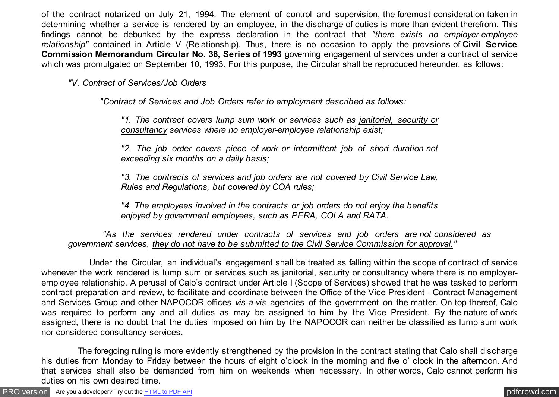of the contract notarized on July 21, 1994. The element of control and supervision, the foremost consideration taken in determining whether a service is rendered by an employee, in the discharge of duties is more than evident therefrom. This findings cannot be debunked by the express declaration in the contract that *"there exists no employer-employee relationship"* contained in Article V (Relationship). Thus, there is no occasion to apply the provisions of **Civil Service Commission Memorandum Circular No. 38, Series of 1993** governing engagement of services under a contract of service which was promulgated on September 10, 1993. For this purpose, the Circular shall be reproduced hereunder, as follows:

*"V. Contract of Services/Job Orders*

 *"Contract of Services and Job Orders refer to employment described as follows:*

*"1. The contract covers lump sum work or services such as janitorial, security or consultancy services where no employer-employee relationship exist;*

*"2. The job order covers piece of work or intermittent job of short duration not exceeding six months on a daily basis;*

*"3. The contracts of services and job orders are not covered by Civil Service Law, Rules and Regulations, but covered by COA rules;*

*"4. The employees involved in the contracts or job orders do not enjoy the benefits enjoyed by government employees, such as PERA, COLA and RATA.*

 *"As the services rendered under contracts of services and job orders are not considered as government services, they do not have to be submitted to the Civil Service Commission for approval."*

 Under the Circular, an individual's engagement shall be treated as falling within the scope of contract of service whenever the work rendered is lump sum or services such as janitorial, security or consultancy where there is no employeremployee relationship. A perusal of Calo's contract under Article I (Scope of Services) showed that he was tasked to perform contract preparation and review, to facilitate and coordinate between the Office of the Vice President - Contract Management and Services Group and other NAPOCOR offices *vis-a-vis* agencies of the government on the matter. On top thereof, Calo was required to perform any and all duties as may be assigned to him by the Vice President. By the nature of work assigned, there is no doubt that the duties imposed on him by the NAPOCOR can neither be classified as lump sum work nor considered consultancy services.

 The foregoing ruling is more evidently strengthened by the provision in the contract stating that Calo shall discharge his duties from Monday to Friday between the hours of eight o'clock in the morning and five o' clock in the afternoon. And that services shall also be demanded from him on weekends when necessary. In other words, Calo cannot perform his duties on his own desired time.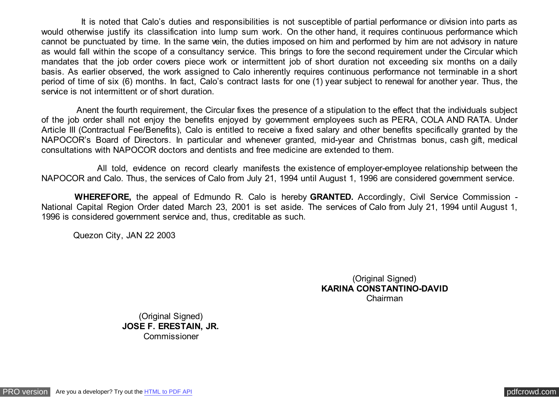It is noted that Calo's duties and responsibilities is not susceptible of partial performance or division into parts as would otherwise justify its classification into lump sum work. On the other hand, it requires continuous performance which cannot be punctuated by time. In the same vein, the duties imposed on him and performed by him are not advisory in nature as would fall within the scope of a consultancy service. This brings to fore the second requirement under the Circular which mandates that the job order covers piece work or intermittent job of short duration not exceeding six months on a daily basis. As earlier observed, the work assigned to Calo inherently requires continuous performance not terminable in a short period of time of six (6) months. In fact, Calo's contract lasts for one (1) year subject to renewal for another year. Thus, the service is not intermittent or of short duration.

 Anent the fourth requirement, the Circular fixes the presence of a stipulation to the effect that the individuals subject of the job order shall not enjoy the benefits enjoyed by government employees such as PERA, COLA AND RATA. Under Article III (Contractual Fee/Benefits), Calo is entitled to receive a fixed salary and other benefits specifically granted by the NAPOCOR's Board of Directors. In particular and whenever granted, mid-year and Christmas bonus, cash gift, medical consultations with NAPOCOR doctors and dentists and free medicine are extended to them.

 All told, evidence on record clearly manifests the existence of employer-employee relationship between the NAPOCOR and Calo. Thus, the services of Calo from July 21, 1994 until August 1, 1996 are considered government service.

 **WHEREFORE,** the appeal of Edmundo R. Calo is hereby **GRANTED.** Accordingly, Civil Service Commission - National Capital Region Order dated March 23, 2001 is set aside. The services of Calo from July 21, 1994 until August 1, 1996 is considered government service and, thus, creditable as such.

Quezon City, JAN 22 2003

(Original Signed) **KARINA CONSTANTINO-DAVID** Chairman

(Original Signed) **JOSE F. ERESTAIN, JR. Commissioner**